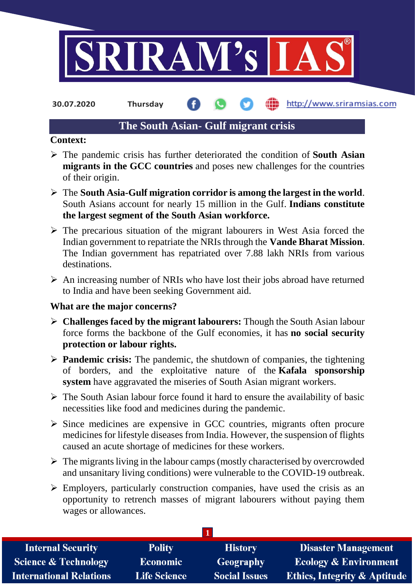

**30.07.2020 Thursday**

## http://www.sriramsias.com

# **The South Asian- Gulf migrant crisis**

# **Context:**

- The pandemic crisis has further deteriorated the condition of **South Asian migrants in the GCC countries** and poses new challenges for the countries of their origin.
- The **South Asia-Gulf migration corridor is among the largest in the world**. South Asians account for nearly 15 million in the Gulf. **Indians constitute the largest segment of the South Asian workforce.**
- $\triangleright$  The precarious situation of the migrant labourers in West Asia forced the Indian government to repatriate the NRIs through the **Vande Bharat Mission**. The Indian government has repatriated over 7.88 lakh NRIs from various destinations.
- $\triangleright$  An increasing number of NRIs who have lost their jobs abroad have returned to India and have been seeking Government aid.

## **What are the major concerns?**

- **Challenges faced by the migrant labourers:** Though the South Asian labour force forms the backbone of the Gulf economies, it has **no social security protection or labour rights.**
- **Pandemic crisis:** The pandemic, the shutdown of companies, the tightening of borders, and the exploitative nature of the **Kafala sponsorship system** have aggravated the miseries of South Asian migrant workers.
- $\triangleright$  The South Asian labour force found it hard to ensure the availability of basic necessities like food and medicines during the pandemic.
- $\triangleright$  Since medicines are expensive in GCC countries, migrants often procure medicines for lifestyle diseases from India. However, the suspension of flights caused an acute shortage of medicines for these workers.
- $\triangleright$  The migrants living in the labour camps (mostly characterised by overcrowded and unsanitary living conditions) were vulnerable to the COVID-19 outbreak.
- $\triangleright$  Employers, particularly construction companies, have used the crisis as an opportunity to retrench masses of migrant labourers without paying them wages or allowances.

| <b>Internal Security</b>        | <b>Polity</b>       | <b>History</b>       | <b>Disaster Management</b>              |
|---------------------------------|---------------------|----------------------|-----------------------------------------|
| <b>Science &amp; Technology</b> | <b>Economic</b>     | Geography            | <b>Ecology &amp; Environment</b>        |
| <b>International Relations</b>  | <b>Life Science</b> | <b>Social Issues</b> | <b>Ethics, Integrity &amp; Aptitude</b> |